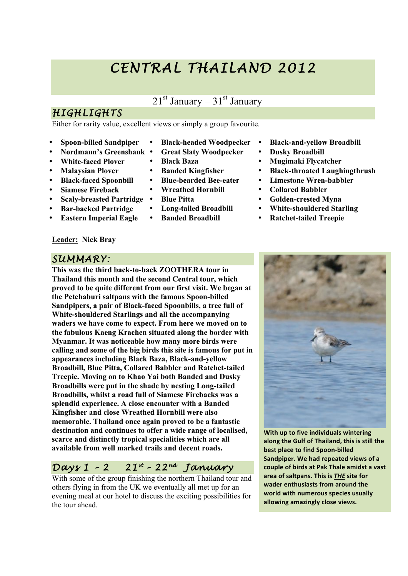# *CENTRAL THAILAND 2012*

## $21<sup>st</sup>$  January – 31 $<sup>st</sup>$  January</sup>

• **Black-headed Woodpecker** • **Great Slaty Woodpecker**

• **Black Baza**

• **Blue Pitta**

• **Banded Kingfisher** • **Blue-bearded Bee-eater** • **Wreathed Hornbill**

• **Long-tailed Broadbill** • **Banded Broadbill**

# *HIGHLIGHTS*

Either for rarity value, excellent views or simply a group favourite.

- **Spoon-billed Sandpiper**
- **Nordmann's Greenshank**
- **White-faced Plover**
- **Malaysian Plover**
- **Black-faced Spoonbill**
- **Siamese Fireback**
- **Scaly-breasted Partridge**
- **Bar-backed Partridge**
- **Eastern Imperial Eagle**

#### **Leader: Nick Bray**

#### *SUMMARY:*

**This was the third back-to-back ZOOTHERA tour in Thailand this month and the second Central tour, which proved to be quite different from our first visit. We began at the Petchaburi saltpans with the famous Spoon-billed Sandpipers, a pair of Black-faced Spoonbills, a tree full of White-shouldered Starlings and all the accompanying waders we have come to expect. From here we moved on to the fabulous Kaeng Krachen situated along the border with Myanmar. It was noticeable how many more birds were calling and some of the big birds this site is famous for put in appearances including Black Baza, Black-and-yellow Broadbill, Blue Pitta, Collared Babbler and Ratchet-tailed Treepie. Moving on to Khao Yai both Banded and Dusky Broadbills were put in the shade by nesting Long-tailed Broadbills, whilst a road full of Siamese Firebacks was a splendid experience. A close encounter with a Banded Kingfisher and close Wreathed Hornbill were also memorable. Thailand once again proved to be a fantastic destination and continues to offer a wide range of localised, scarce and distinctly tropical specialities which are all available from well marked trails and decent roads.**

## *Days 1 – 2 21st – 22 nd January*

With some of the group finishing the northern Thailand tour and others flying in from the UK we eventually all met up for an evening meal at our hotel to discuss the exciting possibilities for the tour ahead.

- **Black-and-yellow Broadbill**
- **Dusky Broadbill**
- **Mugimaki Flycatcher**
- **Black-throated Laughingthrush**
- **Limestone Wren-babbler**
- **Collared Babbler**
- **Golden-crested Myna**
- **White-shouldered Starling**
- **Ratchet-tailed Treepie**





**With up to five individuals wintering** along the Gulf of Thailand, this is still the **best place to find Spoon-billed Sandpiper. We had repeated views of a** couple of birds at Pak Thale amidst a vast area of saltpans. This is THE site for **wader enthusiasts from around the world with numerous species usually** allowing amazingly close views.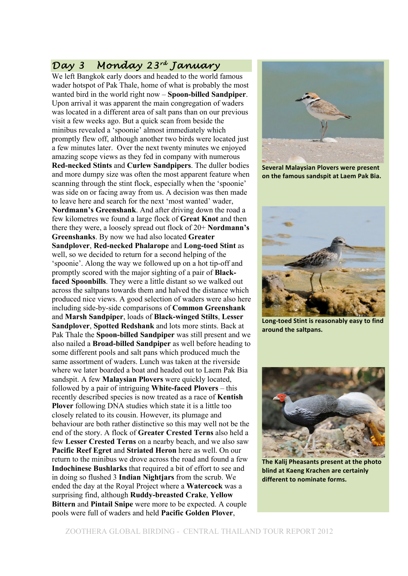## *Day 3 Monday 23rd January*

We left Bangkok early doors and headed to the world famous wader hotspot of Pak Thale, home of what is probably the most wanted bird in the world right now – **Spoon-billed Sandpiper**. Upon arrival it was apparent the main congregation of waders was located in a different area of salt pans than on our previous visit a few weeks ago. But a quick scan from beside the minibus revealed a 'spoonie' almost immediately which promptly flew off, although another two birds were located just a few minutes later. Over the next twenty minutes we enjoyed amazing scope views as they fed in company with numerous **Red-necked Stints** and **Curlew Sandpipers**. The duller bodies and more dumpy size was often the most apparent feature when scanning through the stint flock, especially when the 'spoonie' was side on or facing away from us. A decision was then made to leave here and search for the next 'most wanted' wader, **Nordmann's Greenshank**. And after driving down the road a few kilometres we found a large flock of **Great Knot** and then there they were, a loosely spread out flock of 20+ **Nordmann's Greenshanks**. By now we had also located **Greater Sandplover**, **Red-necked Phalarope** and **Long-toed Stint** as well, so we decided to return for a second helping of the 'spoonie'. Along the way we followed up on a hot tip-off and promptly scored with the major sighting of a pair of **Black**faced Spoonbills. They were a little distant so we walked out across the saltpans towards them and halved the distance which produced nice views. A good selection of waders were also here including side-by-side comparisons of **Common Greenshank** and **Marsh Sandpiper**, loads of **Black-winged Stilts**, **Lesser Sandplover**, **Spotted Redshank** and lots more stints. Back at Pak Thale the **Spoon-billed Sandpiper** was still present and we also nailed a **Broad-billed Sandpiper** as well before heading to some different pools and salt pans which produced much the same assortment of waders. Lunch was taken at the riverside where we later boarded a boat and headed out to Laem Pak Bia sandspit. A few **Malaysian Plovers** were quickly located, followed by a pair of intriguing **White-faced Plovers** – this recently described species is now treated as a race of **Kentish Plover** following DNA studies which state it is a little too closely related to its cousin. However, its plumage and behaviour are both rather distinctive so this may well not be the end of the story. A flock of **Greater Crested Terns** also held a few **Lesser Crested Terns** on a nearby beach, and we also saw **Pacific Reef Egret** and **Striated Heron** here as well. On our return to the minibus we drove across the road and found a few **Indochinese Bushlarks** that required a bit of effort to see and in doing so flushed 3 **Indian Nightjars** from the scrub. We ended the day at the Royal Project where a **Watercock** was a surprising find, although **Ruddy-breasted Crake**, **Yellow Bittern** and **Pintail Snipe** were more to be expected. A couple pools were full of waders and held **Pacific Golden Plover**,



**Several Malaysian Plovers were present on the famous sandspit at Laem Pak Bia.** 



**Long-toed Stint is reasonably easy to find around!the!saltpans.**



**The Kalij Pheasants present at the photo blind at Kaeng Krachen are certainly different to nominate forms.**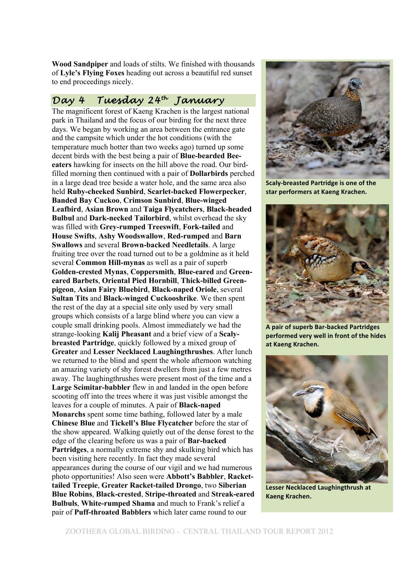**Wood Sandpiper** and loads of stilts. We finished with thousands of **Lyle's Flying Foxes** heading out across a beautiful red sunset to end proceedings nicely.

#### *Day 4 Tuesday 24th January*

The magnificent forest of Kaeng Krachen is the largest national park in Thailand and the focus of our birding for the next three days. We began by working an area between the entrance gate and the campsite which under the hot conditions (with the temperature much hotter than two weeks ago) turned up some decent birds with the best being a pair of **Blue-bearded Beeeaters** hawking for insects on the hill above the road. Our birdfilled morning then continued with a pair of **Dollarbirds** perched in a large dead tree beside a water hole, and the same area also held **Ruby-cheeked Sunbird**, **Scarlet-backed Flowerpecker**, **Banded Bay Cuckoo**, **Crimson Sunbird**, **Blue-winged Leafbird**, **Asian Brown** and **Taiga Flycatchers**, **Black-headed Bulbul** and **Dark-necked Tailorbird**, whilst overhead the sky was filled with **Grey-rumped Treeswift**, **Fork-tailed** and **House Swifts**, **Ashy Woodswallow**, **Red-rumped** and **Barn Swallows** and several **Brown-backed Needletails**. A large fruiting tree over the road turned out to be a goldmine as it held several **Common Hill-mynas** as well as a pair of superb **Golden-crested Mynas**, **Coppersmith**, **Blue-eared** and **Greeneared Barbets**, **Oriental Pied Hornbill**, **Thick-billed Greenpigeon**, **Asian Fairy Bluebird**, **Black-naped Oriole**, several **Sultan Tits** and **Black-winged Cuckooshrike**. We then spent the rest of the day at a special site only used by very small groups which consists of a large blind where you can view a couple small drinking pools. Almost immediately we had the strange-looking **Kalij Pheasant** and a brief view of a **Scalybreasted Partridge**, quickly followed by a mixed group of **Greater** and **Lesser Necklaced Laughingthrushes**. After lunch we returned to the blind and spent the whole afternoon watching an amazing variety of shy forest dwellers from just a few metres away. The laughingthrushes were present most of the time and a **Large Scimitar-babbler** flew in and landed in the open before scooting off into the trees where it was just visible amongst the leaves for a couple of minutes. A pair of **Black-naped Monarchs** spent some time bathing, followed later by a male **Chinese Blue** and **Tickell's Blue Flycatcher** before the star of the show appeared. Walking quietly out of the dense forest to the edge of the clearing before us was a pair of **Bar-backed Partridges**, a normally extreme shy and skulking bird which has been visiting here recently. In fact they made several appearances during the course of our vigil and we had numerous photo opportunities! Also seen were **Abbott's Babbler**, **Rackettailed Treepie**, **Greater Racket-tailed Drongo**, two **Siberian Blue Robins**, **Black-crested**, **Stripe-throated** and **Streak-eared Bulbuls**, **White-rumped Shama** and much to Frank's relief a pair of **Puff-throated Babblers** which later came round to our



**Scaly-breasted Partridge is one of the** star performers at Kaeng Krachen.



**A!pair!of!superb!Bar:backed!Partridges! performed very well in front of the hides** at Kaeng Krachen.



**Lesser Necklaced Laughingthrush at Kaeng!Krachen.**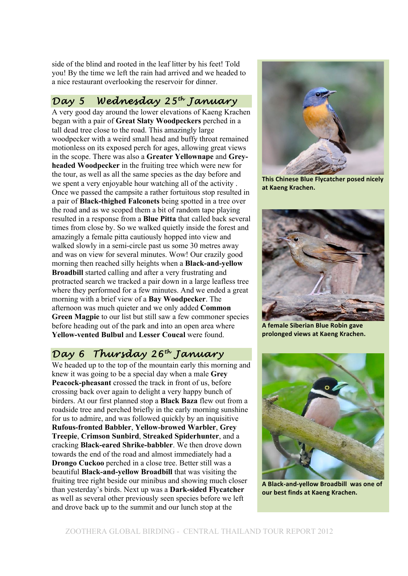side of the blind and rooted in the leaf litter by his feet! Told you! By the time we left the rain had arrived and we headed to a nice restaurant overlooking the reservoir for dinner.

#### *Day 5 Wednesday 25th January*

A very good day around the lower elevations of Kaeng Krachen began with a pair of **Great Slaty Woodpeckers** perched in a tall dead tree close to the road. This amazingly large woodpecker with a weird small head and buffy throat remained motionless on its exposed perch for ages, allowing great views in the scope. There was also a **Greater Yellownape** and **Greyheaded Woodpecker** in the fruiting tree which were new for the tour, as well as all the same species as the day before and we spent a very enjoyable hour watching all of the activity . Once we passed the campsite a rather fortuitous stop resulted in a pair of **Black-thighed Falconets** being spotted in a tree over the road and as we scoped them a bit of random tape playing resulted in a response from a **Blue Pitta** that called back several times from close by. So we walked quietly inside the forest and amazingly a female pitta cautiously hopped into view and walked slowly in a semi-circle past us some 30 metres away and was on view for several minutes. Wow! Our crazily good morning then reached silly heights when a **Black-and-yellow Broadbill** started calling and after a very frustrating and protracted search we tracked a pair down in a large leafless tree where they performed for a few minutes. And we ended a great morning with a brief view of a **Bay Woodpecker**. The afternoon was much quieter and we only added **Common Green Magpie** to our list but still saw a few commoner species before heading out of the park and into an open area where **Yellow-vented Bulbul** and **Lesser Coucal** were found.

#### *Day 6 Thursday 26th January*

We headed up to the top of the mountain early this morning and knew it was going to be a special day when a male **Grey Peacock-pheasant** crossed the track in front of us, before crossing back over again to delight a very happy bunch of birders. At our first planned stop a **Black Baza** flew out from a roadside tree and perched briefly in the early morning sunshine for us to admire, and was followed quickly by an inquisitive **Rufous-fronted Babbler**, **Yellow-browed Warbler**, **Grey Treepie**, **Crimson Sunbird**, **Streaked Spiderhunter**, and a cracking **Black-eared Shrike-babbler**. We then drove down towards the end of the road and almost immediately had a **Drongo Cuckoo** perched in a close tree. Better still was a beautiful **Black-and-yellow Broadbill** that was visiting the fruiting tree right beside our minibus and showing much closer than yesterday's birds. Next up was a **Dark-sided Flycatcher** as well as several other previously seen species before we left and drove back up to the summit and our lunch stop at the



**This Chinese Blue Flycatcher posed nicely at!Kaeng!Krachen.**



**A female Siberian Blue Robin gave prolonged!views!at!Kaeng!Krachen.**



A Black-and-yellow Broadbill was one of **our best finds at Kaeng Krachen.**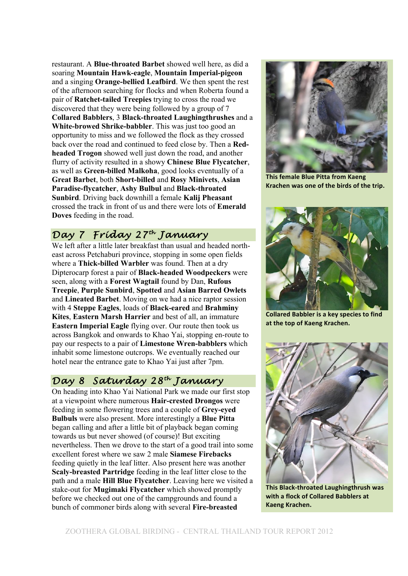restaurant. A **Blue-throated Barbet** showed well here, as did a soaring **Mountain Hawk-eagle**, **Mountain Imperial-pigeon** and a singing **Orange-bellied Leafbird**. We then spent the rest of the afternoon searching for flocks and when Roberta found a pair of **Ratchet-tailed Treepies** trying to cross the road we discovered that they were being followed by a group of 7 **Collared Babblers**, 3 **Black-throated Laughingthrushes** and a **White-browed Shrike-babbler**. This was just too good an opportunity to miss and we followed the flock as they crossed back over the road and continued to feed close by. Then a **Redheaded Trogon** showed well just down the road, and another flurry of activity resulted in a showy **Chinese Blue Flycatcher**, as well as **Green-billed Malkoha**, good looks eventually of a **Great Barbet**, both **Short-billed** and **Rosy Minivets**, **Asian Paradise-flycatcher**, **Ashy Bulbul** and **Black-throated Sunbird**. Driving back downhill a female **Kalij Pheasant** crossed the track in front of us and there were lots of **Emerald Doves** feeding in the road.

## *Day 7 Friday 27th January*

We left after a little later breakfast than usual and headed northeast across Petchaburi province, stopping in some open fields where a **Thick-billed Warbler** was found. Then at a dry Dipterocarp forest a pair of **Black-headed Woodpeckers** were seen, along with a **Forest Wagtail** found by Dan, **Rufous Treepie**, **Purple Sunbird**, **Spotted** and **Asian Barred Owlets** and **Lineated Barbet**. Moving on we had a nice raptor session with 4 **Steppe Eagles**, loads of **Black-eared** and **Brahminy Kites**, **Eastern Marsh Harrier** and best of all, an immature **Eastern Imperial Eagle** flying over. Our route then took us across Bangkok and onwards to Khao Yai, stopping en-route to pay our respects to a pair of **Limestone Wren-babblers** which inhabit some limestone outcrops. We eventually reached our hotel near the entrance gate to Khao Yai just after 7pm.

## *Day 8 Saturday 28th January*

On heading into Khao Yai National Park we made our first stop at a viewpoint where numerous **Hair-crested Drongos** were feeding in some flowering trees and a couple of **Grey-eyed Bulbuls** were also present. More interestingly a **Blue Pitta** began calling and after a little bit of playback began coming towards us but never showed (of course)! But exciting nevertheless. Then we drove to the start of a good trail into some excellent forest where we saw 2 male **Siamese Firebacks** feeding quietly in the leaf litter. Also present here was another **Scaly-breasted Partridge** feeding in the leaf litter close to the path and a male **Hill Blue Flycatcher**. Leaving here we visited a stake-out for **Mugimaki Flycatcher** which showed promptly before we checked out one of the campgrounds and found a bunch of commoner birds along with several **Fire-breasted**



**This female Blue Pitta from Kaeng** Krachen was one of the birds of the trip.



**Collared Babbler is a key species to find** at the top of Kaeng Krachen.



**This!Black:throated!Laughingthrush!was!** with a flock of Collared Babblers at **Kaeng!Krachen.**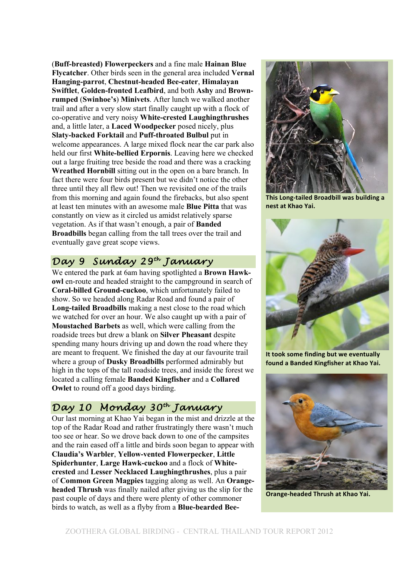(**Buff-breasted) Flowerpeckers** and a fine male **Hainan Blue Flycatcher**. Other birds seen in the general area included **Vernal Hanging-parrot**, **Chestnut-headed Bee-eater**, **Himalayan Swiftlet**, **Golden-fronted Leafbird**, and both **Ashy** and **Brownrumped** (**Swinhoe's**) **Minivets**. After lunch we walked another trail and after a very slow start finally caught up with a flock of co-operative and very noisy **White-crested Laughingthrushes** and, a little later, a **Laced Woodpecker** posed nicely, plus **Slaty-backed Forktail** and **Puff-throated Bulbul** put in welcome appearances. A large mixed flock near the car park also held our first **White-bellied Erpornis**. Leaving here we checked out a large fruiting tree beside the road and there was a cracking **Wreathed Hornbill** sitting out in the open on a bare branch. In fact there were four birds present but we didn't notice the other three until they all flew out! Then we revisited one of the trails from this morning and again found the firebacks, but also spent at least ten minutes with an awesome male **Blue Pitta** that was constantly on view as it circled us amidst relatively sparse vegetation. As if that wasn't enough, a pair of **Banded Broadbills** began calling from the tall trees over the trail and eventually gave great scope views.

## *Day 9 Sunday 29th January*

We entered the park at 6am having spotlighted a **Brown Hawkowl** en-route and headed straight to the campground in search of **Coral-billed Ground-cuckoo**, which unfortunately failed to show. So we headed along Radar Road and found a pair of **Long-tailed Broadbills** making a nest close to the road which we watched for over an hour. We also caught up with a pair of **Moustached Barbets** as well, which were calling from the roadside trees but drew a blank on **Silver Pheasant** despite spending many hours driving up and down the road where they are meant to frequent. We finished the day at our favourite trail where a group of **Dusky Broadbills** performed admirably but high in the tops of the tall roadside trees, and inside the forest we located a calling female **Banded Kingfisher** and a **Collared Owlet** to round off a good days birding.

#### *Day 10 Monday 30th January*

Our last morning at Khao Yai began in the mist and drizzle at the top of the Radar Road and rather frustratingly there wasn't much too see or hear. So we drove back down to one of the campsites and the rain eased off a little and birds soon began to appear with **Claudia's Warbler**, **Yellow-vented Flowerpecker**, **Little Spiderhunter**, **Large Hawk-cuckoo** and a flock of **Whitecrested** and **Lesser Necklaced Laughingthrushes**, plus a pair of **Common Green Magpies** tagging along as well. An **Orangeheaded Thrush** was finally nailed after giving us the slip for the past couple of days and there were plenty of other commoner birds to watch, as well as a flyby from a **Blue-bearded Bee-**



**This Long-tailed Broadbill was building a nest at Khao Yai.** 



**It took some finding but we eventually** found a Banded Kingfisher at Khao Yai.



**Orange-headed Thrush at Khao Yai.**